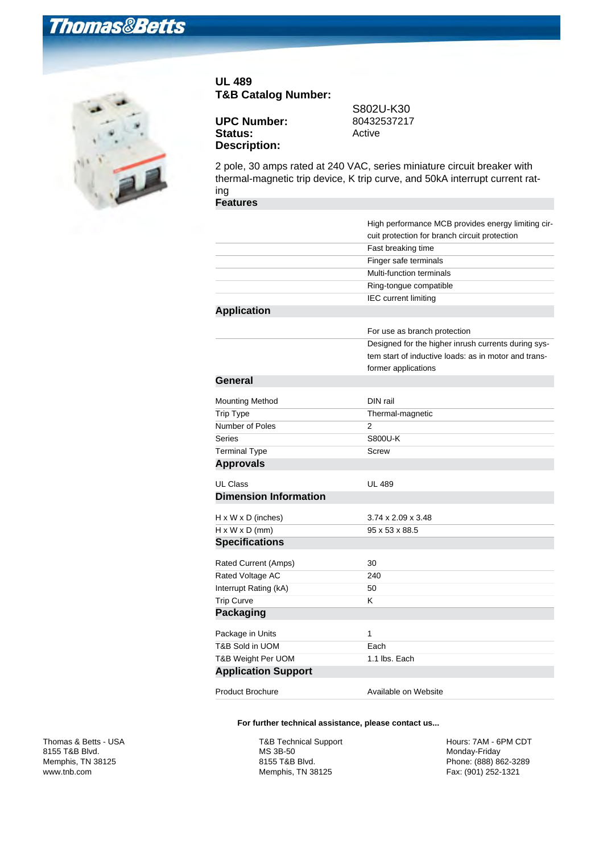## **Thomas&Betts**



## **UL 489 T&B Catalog Number:**

**UPC Number:** Status: Active **Description:**

S802U-K30<br>80432537217

2 pole, 30 amps rated at 240 VAC, series miniature circuit breaker with thermal-magnetic trip device, K trip curve, and 50kA interrupt current rating

## **Features**

|                                | High performance MCB provides energy limiting cir-   |
|--------------------------------|------------------------------------------------------|
|                                | cuit protection for branch circuit protection        |
|                                | Fast breaking time                                   |
|                                | Finger safe terminals                                |
|                                | Multi-function terminals                             |
|                                | Ring-tongue compatible                               |
|                                | <b>IEC</b> current limiting                          |
| <b>Application</b>             |                                                      |
|                                | For use as branch protection                         |
|                                | Designed for the higher inrush currents during sys-  |
|                                | tem start of inductive loads: as in motor and trans- |
|                                | former applications                                  |
| General                        |                                                      |
| <b>Mounting Method</b>         | DIN rail                                             |
| <b>Trip Type</b>               | Thermal-magnetic                                     |
| Number of Poles                | $\overline{2}$                                       |
| Series                         | S800U-K                                              |
| <b>Terminal Type</b>           | Screw                                                |
| <b>Approvals</b>               |                                                      |
| UL Class                       | <b>UL 489</b>                                        |
| <b>Dimension Information</b>   |                                                      |
| $H \times W \times D$ (inches) | $3.74 \times 2.09 \times 3.48$                       |
| $H \times W \times D$ (mm)     | 95 x 53 x 88.5                                       |
| <b>Specifications</b>          |                                                      |
| Rated Current (Amps)           | 30                                                   |
| Rated Voltage AC               | 240                                                  |
| Interrupt Rating (kA)          | 50                                                   |
| <b>Trip Curve</b>              | Κ                                                    |
| <b>Packaging</b>               |                                                      |
| Package in Units               | $\mathbf{1}$                                         |
| T&B Sold in UOM                | Each                                                 |
| T&B Weight Per UOM             | 1.1 lbs. Each                                        |
| <b>Application Support</b>     |                                                      |
| <b>Product Brochure</b>        | Available on Website                                 |

## **For further technical assistance, please contact us...**

T&B Technical Support MS 3B-50 8155 T&B Blvd. Memphis, TN 38125

Hours: 7AM - 6PM CDT Monday-Friday Phone: (888) 862-3289 Fax: (901) 252-1321

Thomas & Betts - USA 8155 T&B Blvd. Memphis, TN 38125 www.tnb.com